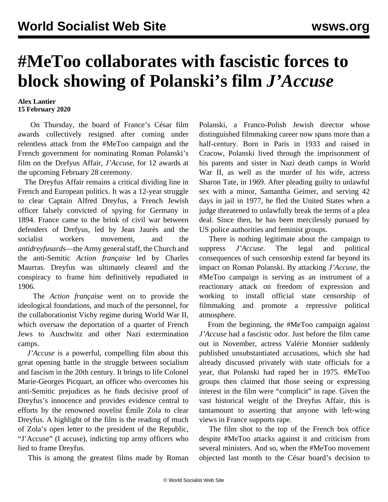## **#MeToo collaborates with fascistic forces to block showing of Polanski's film** *J'Accuse*

## **Alex Lantier 15 February 2020**

 On Thursday, the board of France's César film awards collectively resigned after coming under relentless attack from the #MeToo campaign and the French government for nominating Roman Polanski's film on the Drefyus Affair, *J'Accuse*, for 12 awards at the upcoming February 28 ceremony.

 The Dreyfus Affair remains a critical dividing line in French and European politics. It was a 12-year struggle to clear Captain Alfred Dreyfus, a French Jewish officer falsely convicted of spying for Germany in 1894. France came to the brink of civil war between defenders of Drefyus, led by Jean Jaurès and the socialist workers movement, and the *antidreyfusards*—the Army general staff, the Church and the anti-Semitic *Action française* led by Charles Maurras. Dreyfus was ultimately cleared and the conspiracy to frame him definitively repudiated in 1906.

 The *Action française* went on to provide the ideological foundations, and much of the personnel, for the collaborationist Vichy regime during World War II, which oversaw the deportation of a quarter of French Jews to Auschwitz and other Nazi extermination camps.

 *J'Accuse* is a powerful, compelling film about this great opening battle in the struggle between socialism and fascism in the 20th century. It brings to life Colonel Marie-Georges Picquart, an officer who overcomes his anti-Semitic prejudices as he finds decisive proof of Dreyfus's innocence and provides evidence central to efforts by the renowned novelist Émile Zola to clear Dreyfus. A highlight of the film is the reading of much of Zola's open letter to the president of the Republic, "J'Accuse" (I accuse), indicting top army officers who lied to frame Dreyfus.

This is among the greatest films made by Roman

Polanski, a Franco-Polish Jewish director whose distinguished filmmaking career now spans more than a half-century. Born in Paris in 1933 and raised in Cracow, Polanski lived through the imprisonment of his parents and sister in Nazi death camps in World War II, as well as the murder of his wife, actress Sharon Tate, in 1969. After pleading guilty to unlawful sex with a minor, Samantha Geimer, and serving 42 days in jail in 1977, he fled the United States when a judge threatened to unlawfully break the terms of a plea deal. Since then, he has been mercilessly pursued by US police authorities and feminist groups.

 There is nothing legitimate about the campaign to suppress *J'Accuse*. The legal and political consequences of such censorship extend far beyond its impact on Roman Polanski. By attacking *J'Accuse*, the #MeToo campaign is serving as an instrument of a reactionary attack on freedom of expression and working to install official state censorship of filmmaking and promote a repressive political atmosphere.

 From the beginning, the #MeToo campaign against *J'Accuse* had a fascistic odor. Just before the film came out in November, actress Valérie Monnier suddenly published unsubstantiated accusations, which she had already discussed privately with state officials for a year, that Polanski had raped her in 1975. #MeToo groups then claimed that those seeing or expressing interest in the film were "complicit" in rape. Given the vast historical weight of the Dreyfus Affair, this is tantamount to asserting that anyone with left-wing views in France supports rape.

 The film shot to the top of the French box office despite #MeToo attacks against it and criticism from several ministers. And so, when the #MeToo movement objected last month to the César board's decision to